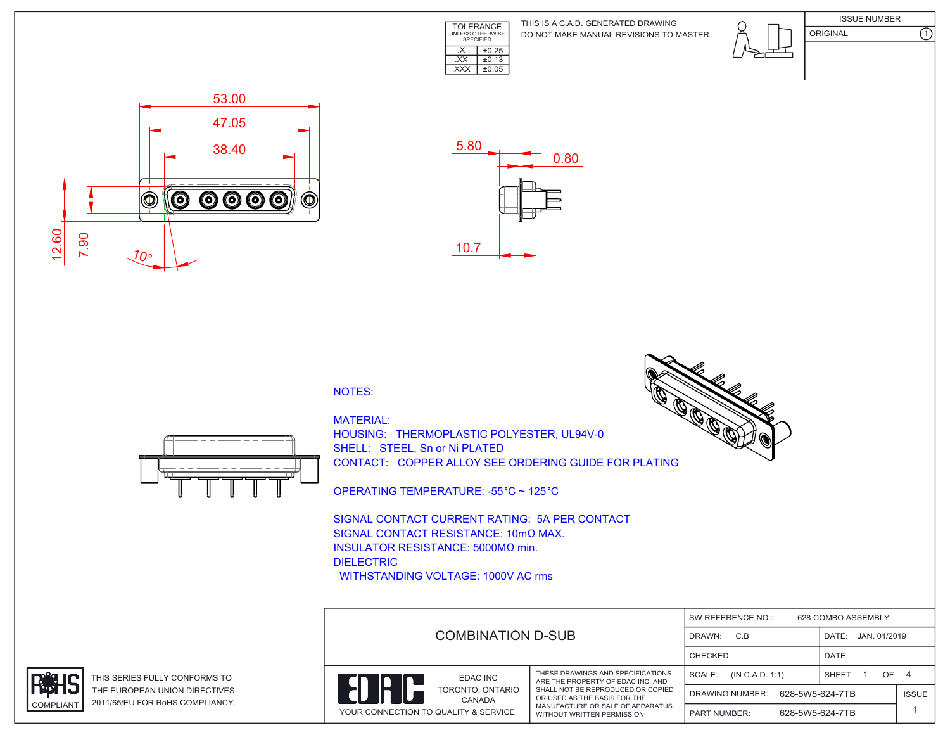

DO NOT MAKE MANUAL REVISIONS TO MASTER. THIS IS A C.A.D. GENERATED DRAWING





ORIGINAL (1)





## NOTES:



HOUSING: THERMOPLASTIC POLYESTER, UL94V-0 SHELL: STEEL, Sn or Ni PLATED CONTACT: COPPER ALLOY SEE ORDERING GUIDE FOR PLATING

OPERATING TEMPERATURE: -55 °C ~ 125 °C

SIGNAL CONTACT CURRENT RATING: 5A PER CONTACT SIGNAL CONTACT RESISTANCE: 10mΩ MAX. INSULATOR RESISTANCE: 5000MΩ min. DIELECTRIC WITHSTANDING VOLTAGE: 1000V AC rms





THIS SERIES FULLY CONFORMS TO THE EUROPEAN UNION DIRECTIVES COMPLIANT 2011/65/EU FOR RoHS COMPLIANCY.



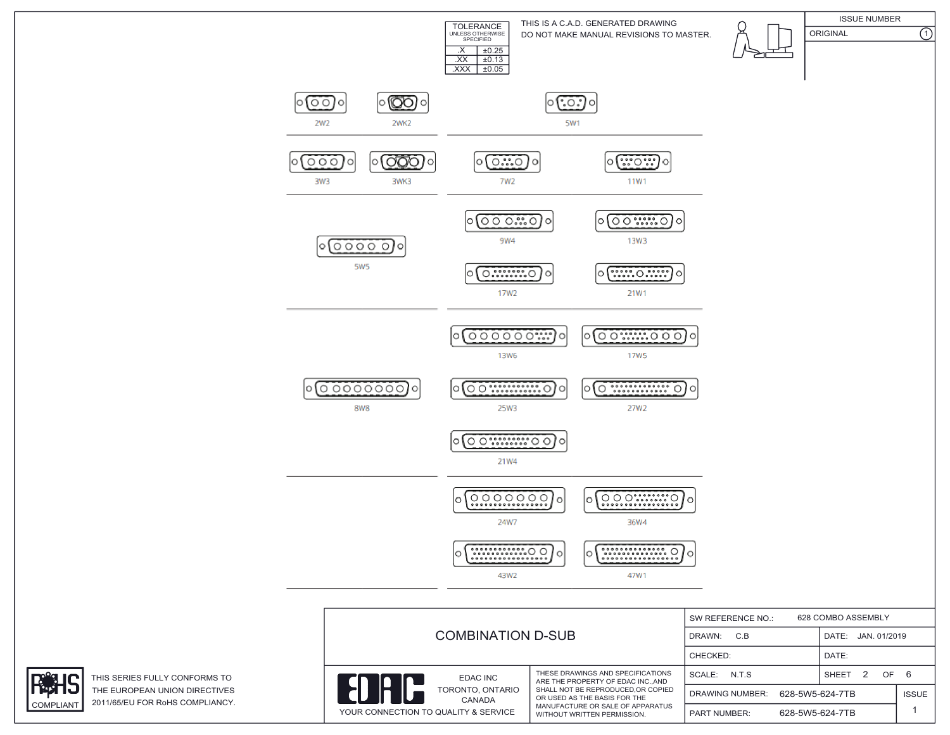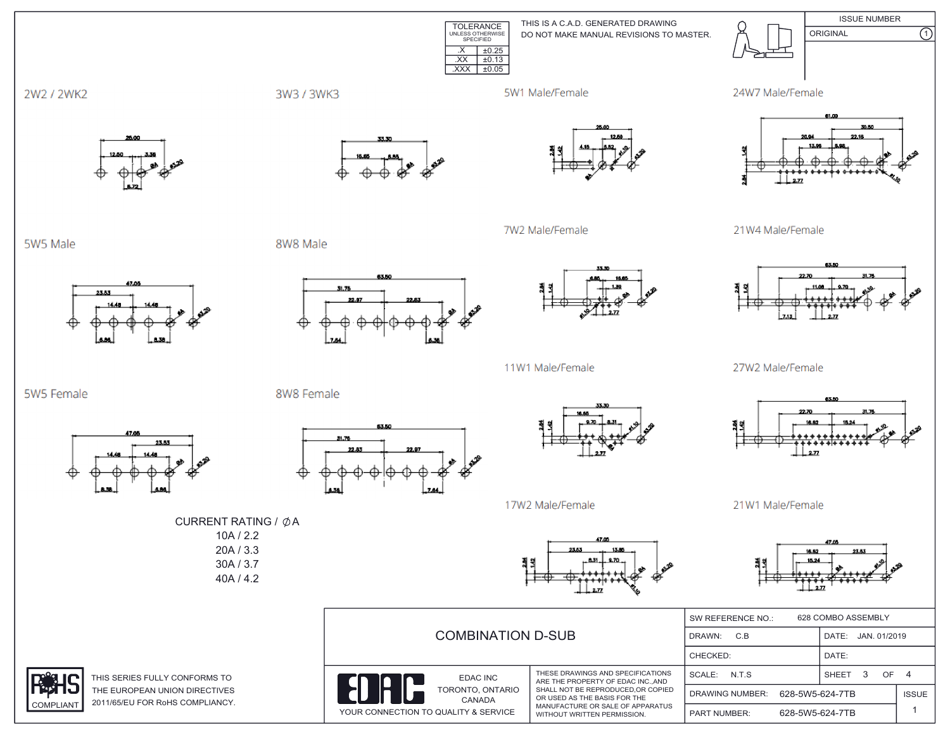**ISSUE NUMBER** TOLERANCE<br>
UNLESS OTHERWISE<br>
SPECIFIED THIS IS A C.A.D. GENERATED DRAWING ORIGINAL DO NOT MAKE MANUAL REVISIONS TO MASTER.  $X \mid \pm 0.25$  $\overline{XX}$   $\pm 0.13$  $\overline{XXX}$   $\pm 0.05$ 

5W1 Male/Female

7W2 Male/Female









 $\overline{\Omega}$ 

21W4 Male/Female



27W2 Male/Female



21W1 Male/Female

16.63

| <b>COMBINATION D-SUB</b>                                                       |                                                                                                                                                                                                              | 628 COMBO ASSEMBLY<br>SW REFERENCE NO.:   |                                      |              |  |
|--------------------------------------------------------------------------------|--------------------------------------------------------------------------------------------------------------------------------------------------------------------------------------------------------------|-------------------------------------------|--------------------------------------|--------------|--|
|                                                                                |                                                                                                                                                                                                              | C.B<br>DRAWN:                             | DATE: JAN. 01/2019                   |              |  |
|                                                                                |                                                                                                                                                                                                              | CHECKED:                                  | DATE:                                |              |  |
| EDAC INC<br>TORONTO, ONTARIO<br>CANADA<br>YOUR CONNECTION TO QUALITY & SERVICE | THESE DRAWINGS AND SPECIFICATIONS<br>ARE THE PROPERTY OF EDAC INCAND<br>SHALL NOT BE REPRODUCED.OR COPIED<br>OR USED AS THE BASIS FOR THE<br>MANUFACTURE OR SALE OF APPARATUS<br>WITHOUT WRITTEN PERMISSION. | SCALE: N.T.S.                             | OF <sub>4</sub><br><b>SHEET</b><br>3 |              |  |
|                                                                                |                                                                                                                                                                                                              | 628-5W5-624-7TB<br><b>DRAWING NUMBER:</b> |                                      | <b>ISSUE</b> |  |
|                                                                                |                                                                                                                                                                                                              | <b>PART NUMBER:</b>                       | 628-5W5-624-7TB                      |              |  |

5W5 Male

5W5 Female

2W2 / 2WK2



23.53

8W8 Male

8W8 Female



63.50

31.76



11W1 Male/Female



17W2 Male/Female

CURRENT RATING / ØA  $10A / 2.2$  $20A / 3.3$ 

> 30A / 3.7 40A / 4.2